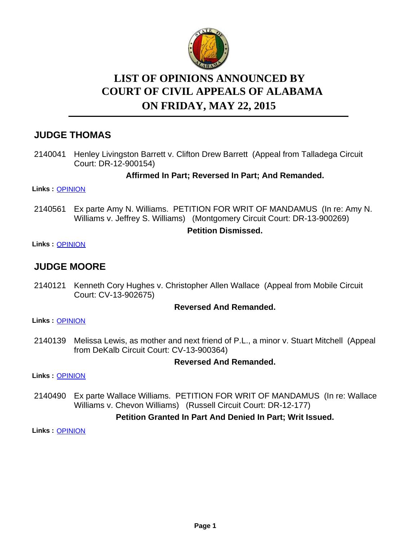

# **LIST OF OPINIONS ANNOUNCED BY ON FRIDAY, MAY 22, 2015 COURT OF CIVIL APPEALS OF ALABAMA**

# **JUDGE THOMAS**

2140041 Henley Livingston Barrett v. Clifton Drew Barrett (Appeal from Talladega Circuit Court: DR-12-900154)

### **Affirmed In Part; Reversed In Part; And Remanded.**

**Links :** [OPINION](https://acis.alabama.gov/displaydocs.cfm?no=659086&event=4CV0KAQC4)

Ex parte Amy N. Williams. PETITION FOR WRIT OF MANDAMUS (In re: Amy N. Williams v. Jeffrey S. Williams) (Montgomery Circuit Court: DR-13-900269) 2140561

### **Petition Dismissed.**

**Links :** [OPINION](https://acis.alabama.gov/displaydocs.cfm?no=659091&event=4CV0KAUCE)

### **JUDGE MOORE**

2140121 Kenneth Cory Hughes v. Christopher Allen Wallace (Appeal from Mobile Circuit Court: CV-13-902675)

### **Reversed And Remanded.**

**Links :** [OPINION](https://acis.alabama.gov/displaydocs.cfm?no=659087&event=4CV0KATF1)

2140139 Melissa Lewis, as mother and next friend of P.L., a minor v. Stuart Mitchell (Appeal from DeKalb Circuit Court: CV-13-900364)

### **Reversed And Remanded.**

**Links :** [OPINION](https://acis.alabama.gov/displaydocs.cfm?no=659088&event=4CV0KATVH)

Ex parte Wallace Williams. PETITION FOR WRIT OF MANDAMUS (In re: Wallace Williams v. Chevon Williams) (Russell Circuit Court: DR-12-177) 2140490

### **Petition Granted In Part And Denied In Part; Writ Issued.**

**Links :** [OPINION](https://acis.alabama.gov/displaydocs.cfm?no=659090&event=4CV0KAU5X)